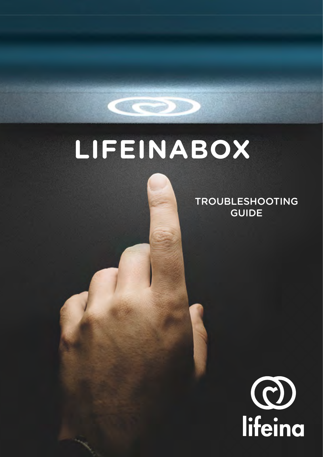## **LIFEINABOX**

TROUBLESHOOTING GUIDE

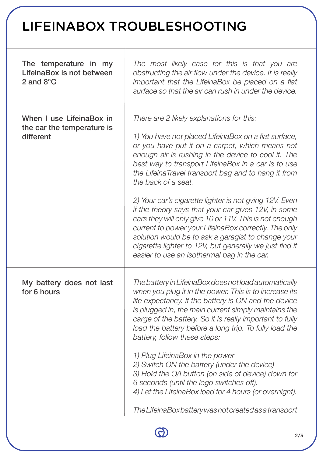## LIFEINABOX TROUBLESHOOTING

| The temperature in my<br>Lifeina Box is not between<br>2 and $8^{\circ}$ C | The most likely case for this is that you are<br>obstructing the air flow under the device. It is really<br>important that the LifeinaBox be placed on a flat<br>surface so that the air can rush in under the device.                                                                                                                                                                                                                                                                                                                                                                                                                                                                               |
|----------------------------------------------------------------------------|------------------------------------------------------------------------------------------------------------------------------------------------------------------------------------------------------------------------------------------------------------------------------------------------------------------------------------------------------------------------------------------------------------------------------------------------------------------------------------------------------------------------------------------------------------------------------------------------------------------------------------------------------------------------------------------------------|
| When I use LifeinaBox in<br>the car the temperature is<br>different        | There are 2 likely explanations for this:<br>1) You have not placed LifeinaBox on a flat surface,<br>or you have put it on a carpet, which means not<br>enough air is rushing in the device to cool it. The<br>best way to transport LifeinaBox in a car is to use<br>the LifeinaTravel transport bag and to hang it from<br>the back of a seat.<br>2) Your car's cigarette lighter is not gving 12V. Even<br>if the theory says that your car gives 12V, in some<br>cars they will only give 10 or 11V. This is not enough<br>current to power your LifeinaBox correctly. The only<br>solution would be to ask a garagist to change your<br>cigarette lighter to 12V, but generally we just find it |
| My battery does not last<br>for 6 hours                                    | easier to use an isothermal bag in the car.<br>The battery in LifeinaBox does not load automatically<br>when you plug it in the power. This is to increase its<br>life expectancy. If the battery is ON and the device                                                                                                                                                                                                                                                                                                                                                                                                                                                                               |
|                                                                            | is plugged in, the main current simply maintains the<br>carge of the battery. So it is really important to fully<br>load the battery before a long trip. To fully load the<br>battery, follow these steps:                                                                                                                                                                                                                                                                                                                                                                                                                                                                                           |
|                                                                            | 1) Plug LifeinaBox in the power<br>2) Switch ON the battery (under the device)<br>3) Hold the O/I button (on side of device) down for<br>6 seconds (until the logo switches off).<br>4) Let the LifeinaBox load for 4 hours (or overnight).                                                                                                                                                                                                                                                                                                                                                                                                                                                          |
|                                                                            | The LifeinaBox battery was not created as a transport                                                                                                                                                                                                                                                                                                                                                                                                                                                                                                                                                                                                                                                |
|                                                                            |                                                                                                                                                                                                                                                                                                                                                                                                                                                                                                                                                                                                                                                                                                      |